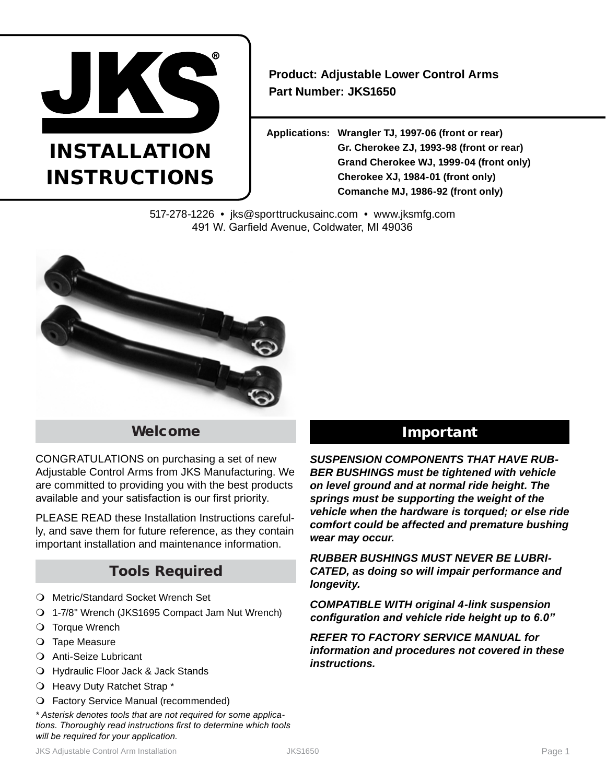

# INSTAL LATION INSTRUCTIONS

**Product: Adjustable Lower Control Arms Part Number: JKS1650**

**Applications: Wrangler TJ, 1997-06 (front or rear) Gr. Cherokee ZJ, 1993-98 (front or rear) Grand Cherokee WJ, 1999-04 (front only) Cherokee XJ, 1984-01 (front only) Comanche MJ, 1986-92 (front only)**

517-278-1226 • jks@sporttruckusainc.com • www.jksmfg.com 491 W. Garfield Avenue, Coldwater, MI 49036



## Welcome

CONGRATULATIONS on purchasing a set of new Adjustable Control Arms from JKS Manufacturing. We are committed to providing you with the best products available and your satisfaction is our first priority.

PLEASE READ these Installation Instructions carefully, and save them for future reference, as they contain important installation and maintenance information.

## Tools Required

- O Metric/Standard Socket Wrench Set
- 1-7/8" Wrench (JKS1695 Compact Jam Nut Wrench)
- O Torque Wrench
- O Tape Measure
- Anti-Seize Lubricant
- Hydraulic Floor Jack & Jack Stands
- O Heavy Duty Ratchet Strap \*
- Factory Service Manual (recommended)

*\* Asterisk denotes tools that are not required for some applications. Thoroughly read instructions first to determine which tools will be required for your application.*

# Important

*SUSPENSION COMPONENTS THAT HAVE RUB-BER BUSHINGS must be tightened with vehicle on level ground and at normal ride height. The springs must be supporting the weight of the vehicle when the hardware is torqued; or else ride comfort could be affected and premature bushing wear may occur.*

*RUBBER BUSHINGS MUST NEVER BE LUBRI-CATED, as doing so will impair performance and longevity.*

*COMPATIBLE WITH original 4-link suspension configuration and vehicle ride height up to 6.0"*

*REFER TO FACTORY SERVICE MANUAL for information and procedures not covered in these instructions.*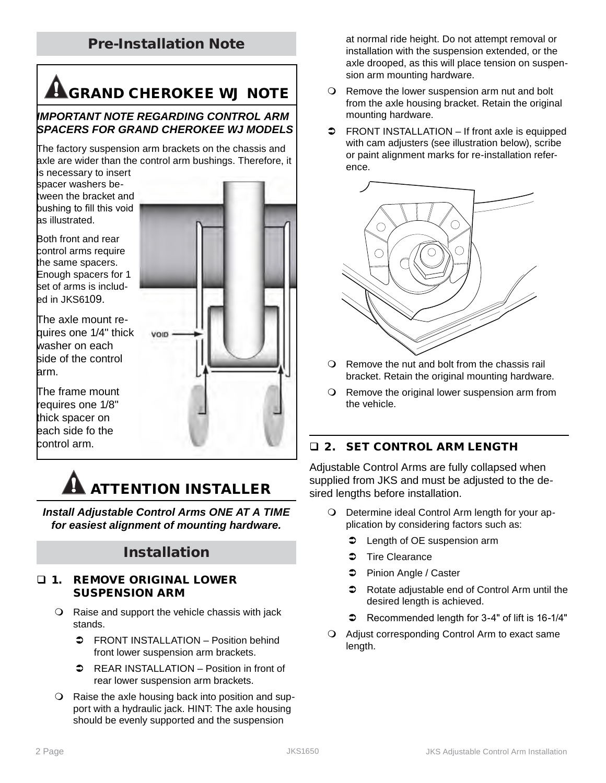## Pre-Installation Note

# **A**GRAND CHEROKEE WJ NOTE

### *IMPORTANT NOTE REGARDING CONTROL ARM SPACERS FOR GRAND CHEROKEE WJ MODELS*

The factory suspension arm brackets on the chassis and axle are wider than the control arm bushings. Therefore, it

**VOID** 

is necessary to insert spacer washers between the bracket and bushing to fill this void as illustrated.

Both front and rear control arms require the same spacers. Enough spacers for 1 set of arms is included in JKS6109.

The axle mount requires one 1/4" thick washer on each side of the control arm.

The frame mount requires one 1/8" thick spacer on each side fo the control arm.

# ATTENTION INSTALLER

Use flat was held was to fill void between bracket and bushing

*Install Adjustable Control Arms ONE AT A TIME for easiest alignment of mounting hardware.*

## Installation

### 1. REMOVE ORIGINAL LOWER SUSPENSION ARM

- Raise and support the vehicle chassis with jack stands.
	- **C** FRONT INSTALLATION Position behind front lower suspension arm brackets.
	- REAR INSTALLATION Position in front of rear lower suspension arm brackets.
- Raise the axle housing back into position and support with a hydraulic jack. HINT: The axle housing should be evenly supported and the suspension

at normal ride height. Do not attempt removal or installation with the suspension extended, or the axle drooped, as this will place tension on suspension arm mounting hardware.

- Q Remove the lower suspension arm nut and bolt from the axle housing bracket. Retain the original mounting hardware.
- $\Rightarrow$  FRONT INSTALLATION If front axle is equipped with cam adjusters (see illustration below), scribe or paint alignment marks for re-installation reference.



- O Remove the nut and bolt from the chassis rail bracket. Retain the original mounting hardware.
- O Remove the original lower suspension arm from the vehicle.

## **Q 2. SET CONTROL ARM LENGTH**

Adjustable Control Arms are fully collapsed when supplied from JKS and must be adjusted to the desired lengths before installation.

- Determine ideal Control Arm length for your application by considering factors such as:
	- **C** Length of OE suspension arm
	- $\Rightarrow$  Tire Clearance
	- Pinion Angle / Caster
	- $\heartsuit$  Rotate adjustable end of Control Arm until the desired length is achieved.
	- $\bullet$  Recommended length for 3-4" of lift is 16-1/4"
- Adjust corresponding Control Arm to exact same length.